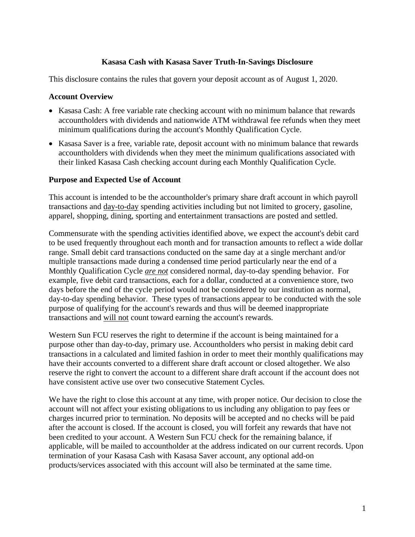#### **Kasasa Cash with Kasasa Saver Truth-In-Savings Disclosure**

This disclosure contains the rules that govern your deposit account as of August 1, 2020.

#### **Account Overview**

- Kasasa Cash: A free variable rate checking account with no minimum balance that rewards accountholders with dividends and nationwide ATM withdrawal fee refunds when they meet minimum qualifications during the account's Monthly Qualification Cycle.
- Kasasa Saver is a free, variable rate, deposit account with no minimum balance that rewards accountholders with dividends when they meet the minimum qualifications associated with their linked Kasasa Cash checking account during each Monthly Qualification Cycle.

#### **Purpose and Expected Use of Account**

This account is intended to be the accountholder's primary share draft account in which payroll transactions and day-to-day spending activities including but not limited to grocery, gasoline, apparel, shopping, dining, sporting and entertainment transactions are posted and settled.

Commensurate with the spending activities identified above, we expect the account's debit card to be used frequently throughout each month and for transaction amounts to reflect a wide dollar range. Small debit card transactions conducted on the same day at a single merchant and/or multiple transactions made during a condensed time period particularly near the end of a Monthly Qualification Cycle *are not* considered normal, day-to-day spending behavior. For example, five debit card transactions, each for a dollar, conducted at a convenience store, two days before the end of the cycle period would not be considered by our institution as normal, day-to-day spending behavior. These types of transactions appear to be conducted with the sole purpose of qualifying for the account's rewards and thus will be deemed inappropriate transactions and will not count toward earning the account's rewards.

Western Sun FCU reserves the right to determine if the account is being maintained for a purpose other than day-to-day, primary use. Accountholders who persist in making debit card transactions in a calculated and limited fashion in order to meet their monthly qualifications may have their accounts converted to a different share draft account or closed altogether. We also reserve the right to convert the account to a different share draft account if the account does not have consistent active use over two consecutive Statement Cycles.

We have the right to close this account at any time, with proper notice. Our decision to close the account will not affect your existing obligations to us including any obligation to pay fees or charges incurred prior to termination. No deposits will be accepted and no checks will be paid after the account is closed. If the account is closed, you will forfeit any rewards that have not been credited to your account. A Western Sun FCU check for the remaining balance, if applicable, will be mailed to accountholder at the address indicated on our current records. Upon termination of your Kasasa Cash with Kasasa Saver account, any optional add-on products/services associated with this account will also be terminated at the same time.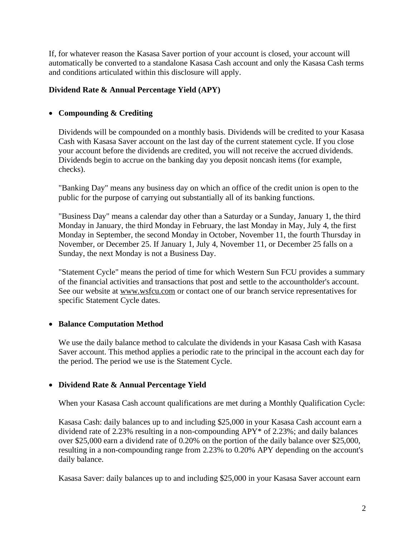If, for whatever reason the Kasasa Saver portion of your account is closed, your account will automatically be converted to a standalone Kasasa Cash account and only the Kasasa Cash terms and conditions articulated within this disclosure will apply.

## **Dividend Rate & Annual Percentage Yield (APY)**

## • **Compounding & Crediting**

Dividends will be compounded on a monthly basis. Dividends will be credited to your Kasasa Cash with Kasasa Saver account on the last day of the current statement cycle. If you close your account before the dividends are credited, you will not receive the accrued dividends. Dividends begin to accrue on the banking day you deposit noncash items (for example, checks).

"Banking Day" means any business day on which an office of the credit union is open to the public for the purpose of carrying out substantially all of its banking functions.

"Business Day" means a calendar day other than a Saturday or a Sunday, January 1, the third Monday in January, the third Monday in February, the last Monday in May, July 4, the first Monday in September, the second Monday in October, November 11, the fourth Thursday in November, or December 25. If January 1, July 4, November 11, or December 25 falls on a Sunday, the next Monday is not a Business Day.

"Statement Cycle" means the period of time for which Western Sun FCU provides a summary of the financial activities and transactions that post and settle to the accountholder's account. See our website at [www.wsfcu.com](http://www.wsfcu.com/) or contact one of our branch service representatives for specific Statement Cycle dates.

### • **Balance Computation Method**

We use the daily balance method to calculate the dividends in your Kasasa Cash with Kasasa Saver account. This method applies a periodic rate to the principal in the account each day for the period. The period we use is the Statement Cycle.

### • **Dividend Rate & Annual Percentage Yield**

When your Kasasa Cash account qualifications are met during a Monthly Qualification Cycle:

Kasasa Cash: daily balances up to and including \$25,000 in your Kasasa Cash account earn a dividend rate of 2.23% resulting in a non-compounding APY\* of 2.23%; and daily balances over \$25,000 earn a dividend rate of 0.20% on the portion of the daily balance over \$25,000, resulting in a non-compounding range from 2.23% to 0.20% APY depending on the account's daily balance.

Kasasa Saver: daily balances up to and including \$25,000 in your Kasasa Saver account earn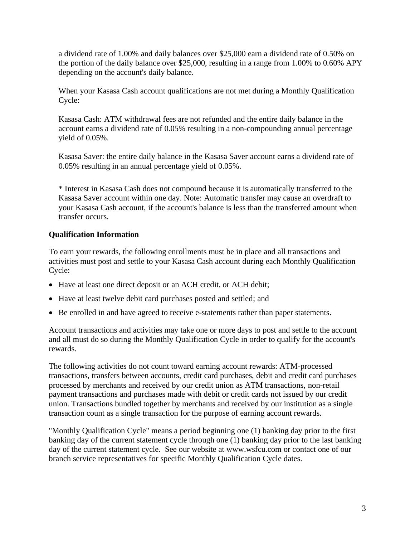a dividend rate of 1.00% and daily balances over \$25,000 earn a dividend rate of 0.50% on the portion of the daily balance over \$25,000, resulting in a range from 1.00% to 0.60% APY depending on the account's daily balance.

When your Kasasa Cash account qualifications are not met during a Monthly Qualification Cycle:

Kasasa Cash: ATM withdrawal fees are not refunded and the entire daily balance in the account earns a dividend rate of 0.05% resulting in a non-compounding annual percentage yield of 0.05%.

Kasasa Saver: the entire daily balance in the Kasasa Saver account earns a dividend rate of 0.05% resulting in an annual percentage yield of 0.05%.

\* Interest in Kasasa Cash does not compound because it is automatically transferred to the Kasasa Saver account within one day. Note: Automatic transfer may cause an overdraft to your Kasasa Cash account, if the account's balance is less than the transferred amount when transfer occurs.

# **Qualification Information**

To earn your rewards, the following enrollments must be in place and all transactions and activities must post and settle to your Kasasa Cash account during each Monthly Qualification Cycle:

- Have at least one direct deposit or an ACH credit, or ACH debit;
- Have at least twelve debit card purchases posted and settled; and
- Be enrolled in and have agreed to receive e-statements rather than paper statements.

Account transactions and activities may take one or more days to post and settle to the account and all must do so during the Monthly Qualification Cycle in order to qualify for the account's rewards.

The following activities do not count toward earning account rewards: ATM-processed transactions, transfers between accounts, credit card purchases, debit and credit card purchases processed by merchants and received by our credit union as ATM transactions, non-retail payment transactions and purchases made with debit or credit cards not issued by our credit union. Transactions bundled together by merchants and received by our institution as a single transaction count as a single transaction for the purpose of earning account rewards.

"Monthly Qualification Cycle" means a period beginning one (1) banking day prior to the first banking day of the current statement cycle through one (1) banking day prior to the last banking day of the current statement cycle. See our website at [www.wsfcu.com](http://www.wsfcu.com/) or contact one of our branch service representatives for specific Monthly Qualification Cycle dates.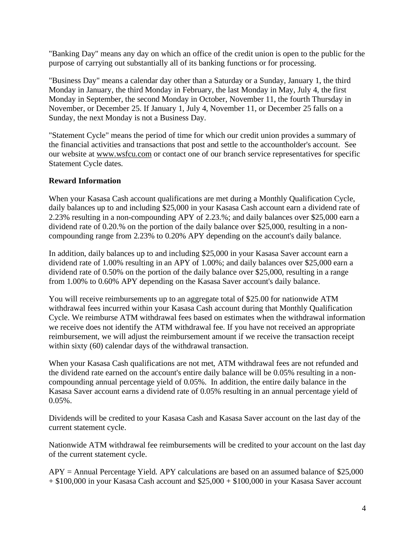"Banking Day" means any day on which an office of the credit union is open to the public for the purpose of carrying out substantially all of its banking functions or for processing.

"Business Day" means a calendar day other than a Saturday or a Sunday, January 1, the third Monday in January, the third Monday in February, the last Monday in May, July 4, the first Monday in September, the second Monday in October, November 11, the fourth Thursday in November, or December 25. If January 1, July 4, November 11, or December 25 falls on a Sunday, the next Monday is not a Business Day.

"Statement Cycle" means the period of time for which our credit union provides a summary of the financial activities and transactions that post and settle to the accountholder's account. See our website at [www.wsfcu.com](http://www.wsfcu.com/) or contact one of our branch service representatives for specific Statement Cycle dates.

#### **Reward Information**

When your Kasasa Cash account qualifications are met during a Monthly Qualification Cycle, daily balances up to and including \$25,000 in your Kasasa Cash account earn a dividend rate of 2.23% resulting in a non-compounding APY of 2.23.%; and daily balances over \$25,000 earn a dividend rate of 0.20.% on the portion of the daily balance over \$25,000, resulting in a noncompounding range from 2.23% to 0.20% APY depending on the account's daily balance.

In addition, daily balances up to and including \$25,000 in your Kasasa Saver account earn a dividend rate of 1.00% resulting in an APY of 1.00%; and daily balances over \$25,000 earn a dividend rate of 0.50% on the portion of the daily balance over \$25,000, resulting in a range from 1.00% to 0.60% APY depending on the Kasasa Saver account's daily balance.

You will receive reimbursements up to an aggregate total of \$25.00 for nationwide ATM withdrawal fees incurred within your Kasasa Cash account during that Monthly Qualification Cycle. We reimburse ATM withdrawal fees based on estimates when the withdrawal information we receive does not identify the ATM withdrawal fee. If you have not received an appropriate reimbursement, we will adjust the reimbursement amount if we receive the transaction receipt within sixty (60) calendar days of the withdrawal transaction.

When your Kasasa Cash qualifications are not met, ATM withdrawal fees are not refunded and the dividend rate earned on the account's entire daily balance will be 0.05% resulting in a noncompounding annual percentage yield of 0.05%. In addition, the entire daily balance in the Kasasa Saver account earns a dividend rate of 0.05% resulting in an annual percentage yield of 0.05%.

Dividends will be credited to your Kasasa Cash and Kasasa Saver account on the last day of the current statement cycle.

Nationwide ATM withdrawal fee reimbursements will be credited to your account on the last day of the current statement cycle.

APY = Annual Percentage Yield. APY calculations are based on an assumed balance of \$25,000  $+ $100,000$  in your Kasasa Cash account and  $$25,000 + $100,000$  in your Kasasa Saver account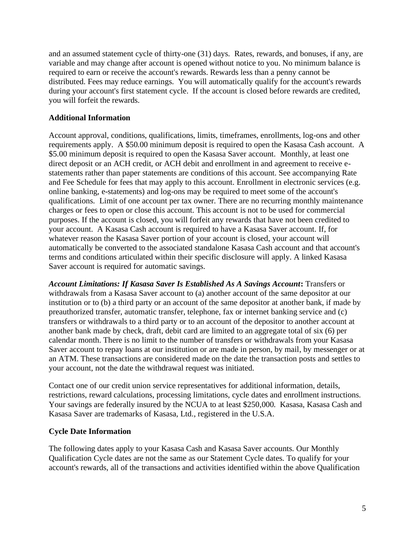and an assumed statement cycle of thirty-one (31) days. Rates, rewards, and bonuses, if any, are variable and may change after account is opened without notice to you. No minimum balance is required to earn or receive the account's rewards. Rewards less than a penny cannot be distributed. Fees may reduce earnings. You will automatically qualify for the account's rewards during your account's first statement cycle. If the account is closed before rewards are credited, you will forfeit the rewards.

### **Additional Information**

Account approval, conditions, qualifications, limits, timeframes, enrollments, log-ons and other requirements apply. A \$50.00 minimum deposit is required to open the Kasasa Cash account. A \$5.00 minimum deposit is required to open the Kasasa Saver account. Monthly, at least one direct deposit or an ACH credit, or ACH debit and enrollment in and agreement to receive estatements rather than paper statements are conditions of this account. See accompanying Rate and Fee Schedule for fees that may apply to this account. Enrollment in electronic services (e.g. online banking, e-statements) and log-ons may be required to meet some of the account's qualifications. Limit of one account per tax owner. There are no recurring monthly maintenance charges or fees to open or close this account. This account is not to be used for commercial purposes. If the account is closed, you will forfeit any rewards that have not been credited to your account. A Kasasa Cash account is required to have a Kasasa Saver account. If, for whatever reason the Kasasa Saver portion of your account is closed, your account will automatically be converted to the associated standalone Kasasa Cash account and that account's terms and conditions articulated within their specific disclosure will apply. A linked Kasasa Saver account is required for automatic savings.

*Account Limitations: If Kasasa Saver Is Established As A Savings Account***:** Transfers or withdrawals from a Kasasa Saver account to (a) another account of the same depositor at our institution or to (b) a third party or an account of the same depositor at another bank, if made by preauthorized transfer, automatic transfer, telephone, fax or internet banking service and (c) transfers or withdrawals to a third party or to an account of the depositor to another account at another bank made by check, draft, debit card are limited to an aggregate total of six (6) per calendar month. There is no limit to the number of transfers or withdrawals from your Kasasa Saver account to repay loans at our institution or are made in person, by mail, by messenger or at an ATM. These transactions are considered made on the date the transaction posts and settles to your account, not the date the withdrawal request was initiated.

Contact one of our credit union service representatives for additional information, details, restrictions, reward calculations, processing limitations, cycle dates and enrollment instructions. Your savings are federally insured by the NCUA to at least \$250,000. Kasasa, Kasasa Cash and Kasasa Saver are trademarks of Kasasa, Ltd., registered in the U.S.A.

#### **Cycle Date Information**

The following dates apply to your Kasasa Cash and Kasasa Saver accounts. Our Monthly Qualification Cycle dates are not the same as our Statement Cycle dates. To qualify for your account's rewards, all of the transactions and activities identified within the above Qualification